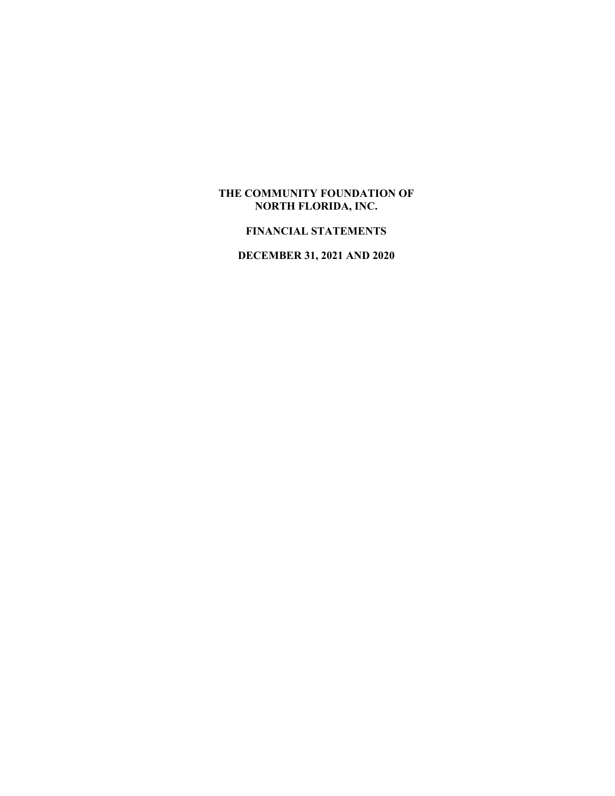## **THE COMMUNITY FOUNDATION OF NORTH FLORIDA, INC.**

# **FINANCIAL STATEMENTS**

**DECEMBER 31, 2021 AND 2020**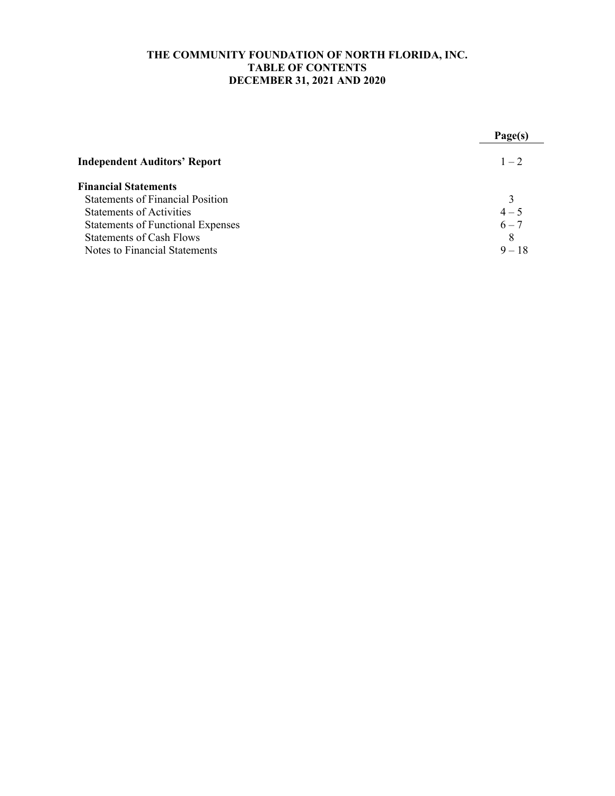## **THE COMMUNITY FOUNDATION OF NORTH FLORIDA, INC. TABLE OF CONTENTS DECEMBER 31, 2021 AND 2020**

|                                          | Page(s)  |
|------------------------------------------|----------|
| <b>Independent Auditors' Report</b>      | $1 - 2$  |
| <b>Financial Statements</b>              |          |
| <b>Statements of Financial Position</b>  | 3        |
| Statements of Activities                 | $4 - 5$  |
| <b>Statements of Functional Expenses</b> | $6 - 7$  |
| <b>Statements of Cash Flows</b>          | 8        |
| Notes to Financial Statements            | $9 - 18$ |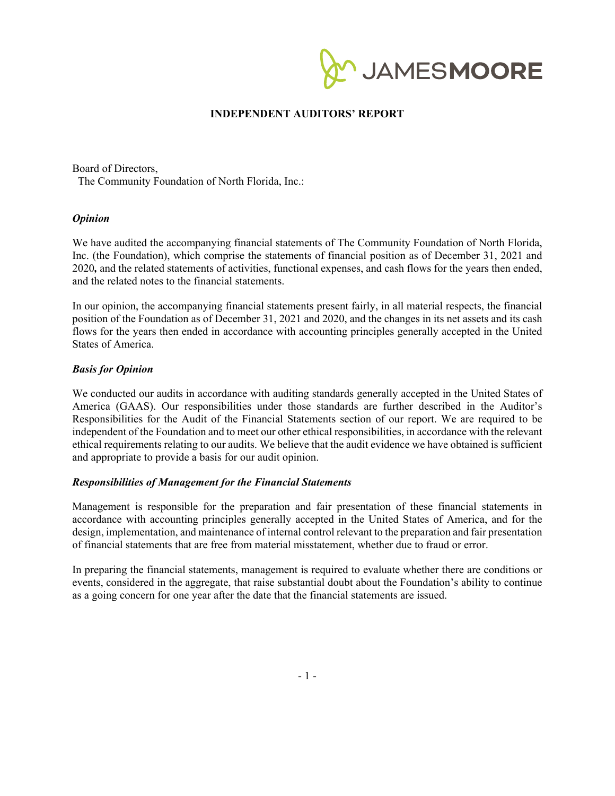

### **INDEPENDENT AUDITORS' REPORT**

Board of Directors, The Community Foundation of North Florida, Inc.:

#### *Opinion*

We have audited the accompanying financial statements of The Community Foundation of North Florida, Inc. (the Foundation), which comprise the statements of financial position as of December 31, 2021 and 2020*,* and the related statements of activities, functional expenses, and cash flows for the years then ended, and the related notes to the financial statements.

In our opinion, the accompanying financial statements present fairly, in all material respects, the financial position of the Foundation as of December 31, 2021 and 2020, and the changes in its net assets and its cash flows for the years then ended in accordance with accounting principles generally accepted in the United States of America.

#### *Basis for Opinion*

We conducted our audits in accordance with auditing standards generally accepted in the United States of America (GAAS). Our responsibilities under those standards are further described in the Auditor's Responsibilities for the Audit of the Financial Statements section of our report. We are required to be independent of the Foundation and to meet our other ethical responsibilities, in accordance with the relevant ethical requirements relating to our audits. We believe that the audit evidence we have obtained is sufficient and appropriate to provide a basis for our audit opinion.

#### *Responsibilities of Management for the Financial Statements*

Management is responsible for the preparation and fair presentation of these financial statements in accordance with accounting principles generally accepted in the United States of America, and for the design, implementation, and maintenance of internal control relevant to the preparation and fair presentation of financial statements that are free from material misstatement, whether due to fraud or error.

In preparing the financial statements, management is required to evaluate whether there are conditions or events, considered in the aggregate, that raise substantial doubt about the Foundation's ability to continue as a going concern for one year after the date that the financial statements are issued.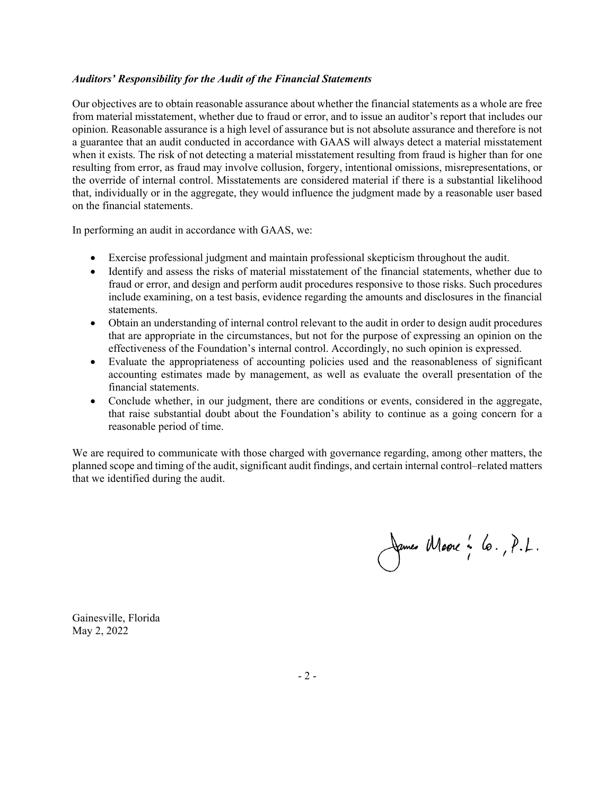#### *Auditors' Responsibility for the Audit of the Financial Statements*

Our objectives are to obtain reasonable assurance about whether the financial statements as a whole are free from material misstatement, whether due to fraud or error, and to issue an auditor's report that includes our opinion. Reasonable assurance is a high level of assurance but is not absolute assurance and therefore is not a guarantee that an audit conducted in accordance with GAAS will always detect a material misstatement when it exists. The risk of not detecting a material misstatement resulting from fraud is higher than for one resulting from error, as fraud may involve collusion, forgery, intentional omissions, misrepresentations, or the override of internal control. Misstatements are considered material if there is a substantial likelihood that, individually or in the aggregate, they would influence the judgment made by a reasonable user based on the financial statements.

In performing an audit in accordance with GAAS, we:

- Exercise professional judgment and maintain professional skepticism throughout the audit.
- Identify and assess the risks of material misstatement of the financial statements, whether due to fraud or error, and design and perform audit procedures responsive to those risks. Such procedures include examining, on a test basis, evidence regarding the amounts and disclosures in the financial statements.
- Obtain an understanding of internal control relevant to the audit in order to design audit procedures that are appropriate in the circumstances, but not for the purpose of expressing an opinion on the effectiveness of the Foundation's internal control. Accordingly, no such opinion is expressed.
- Evaluate the appropriateness of accounting policies used and the reasonableness of significant accounting estimates made by management, as well as evaluate the overall presentation of the financial statements.
- Conclude whether, in our judgment, there are conditions or events, considered in the aggregate, that raise substantial doubt about the Foundation's ability to continue as a going concern for a reasonable period of time.

We are required to communicate with those charged with governance regarding, among other matters, the planned scope and timing of the audit, significant audit findings, and certain internal control–related matters that we identified during the audit.

James Marre : 6., P.L.

Gainesville, Florida May 2, 2022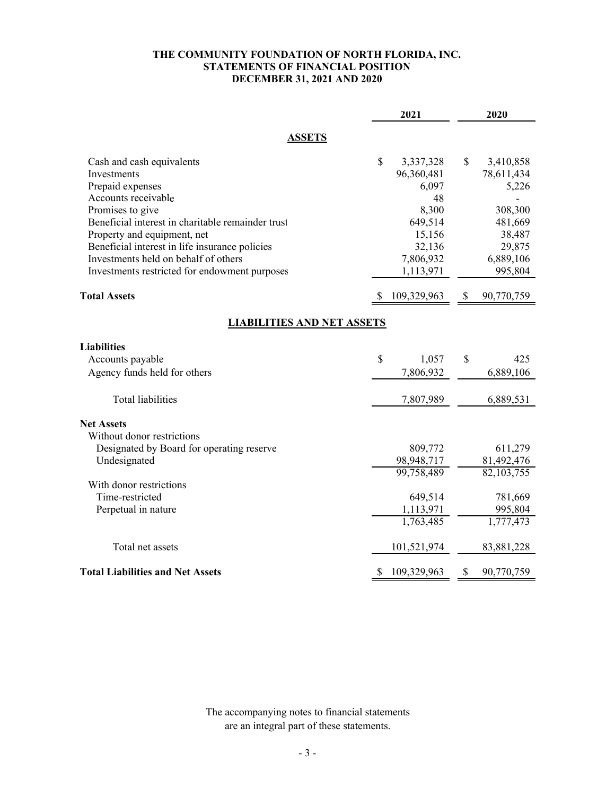#### **THE COMMUNITY FOUNDATION OF NORTH FLORIDA, INC. STATEMENTS OF FINANCIAL POSITION DECEMBER 31, 2021 AND 2020**

|                                                   | 2021                          | 2020                      |
|---------------------------------------------------|-------------------------------|---------------------------|
| <b>ASSETS</b>                                     |                               |                           |
| Cash and cash equivalents                         | \$<br>3,337,328               | \$<br>3,410,858           |
| Investments                                       | 96,360,481                    | 78,611,434                |
| Prepaid expenses                                  | 6,097                         | 5,226                     |
| Accounts receivable                               | 48                            |                           |
| Promises to give                                  | 8,300                         | 308,300                   |
| Beneficial interest in charitable remainder trust | 649,514                       | 481,669                   |
| Property and equipment, net                       | 15,156                        | 38,487                    |
| Beneficial interest in life insurance policies    | 32,136                        | 29,875                    |
| Investments held on behalf of others              | 7,806,932                     | 6,889,106                 |
| Investments restricted for endowment purposes     | 1,113,971                     | 995,804                   |
| <b>Total Assets</b>                               |                               | 109,329,963 \$ 90,770,759 |
| <b>LIABILITIES AND NET ASSETS</b>                 |                               |                           |
| <b>Liabilities</b>                                |                               |                           |
| Accounts payable                                  | \$<br>1,057                   | \$<br>425                 |
| Agency funds held for others                      | 7,806,932                     | 6,889,106                 |
| <b>Total liabilities</b>                          | 7,807,989                     | 6,889,531                 |
| <b>Net Assets</b>                                 |                               |                           |
| Without donor restrictions                        |                               |                           |
| Designated by Board for operating reserve         | 809,772                       | 611,279                   |
| Undesignated                                      | 98,948,717                    | 81,492,476                |
| With donor restrictions                           | 99,758,489                    | 82, 103, 755              |
| Time-restricted                                   | 649,514                       | 781,669                   |
| Perpetual in nature                               |                               | 995,804                   |
|                                                   | $\frac{1,113,971}{1,763,485}$ | 1,777,473                 |
|                                                   |                               |                           |
| Total net assets                                  | 101,521,974                   | 83,881,228                |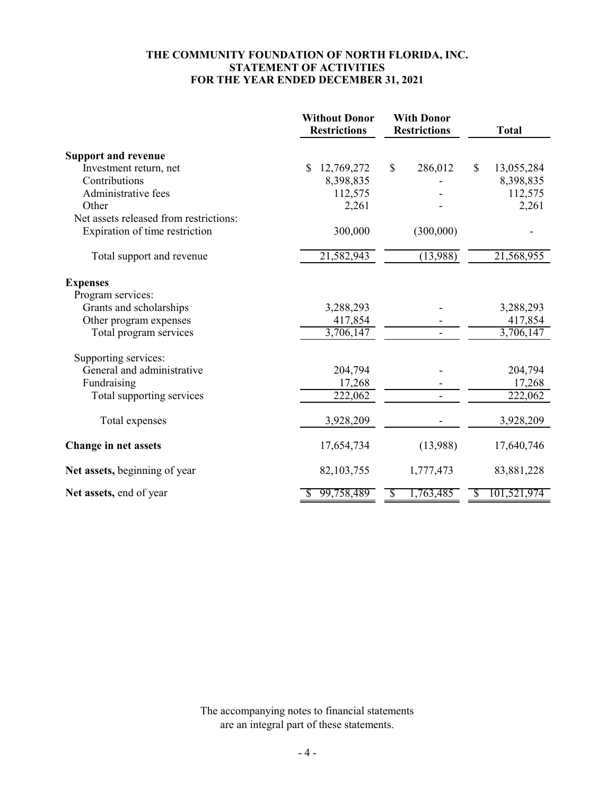#### **THE COMMUNITY FOUNDATION OF NORTH FLORIDA, INC. STATEMENT OF ACTIVITIES FOR THE YEAR ENDED DECEMBER 31, 2021**

|                                        | <b>Without Donor</b><br><b>Restrictions</b> | <b>With Donor</b><br><b>Restrictions</b> | <b>Total</b>                |  |
|----------------------------------------|---------------------------------------------|------------------------------------------|-----------------------------|--|
| <b>Support and revenue</b>             |                                             |                                          |                             |  |
| Investment return, net                 | S<br>12,769,272                             | \$<br>286,012                            | <sup>\$</sup><br>13,055,284 |  |
| Contributions                          | 8,398,835                                   |                                          | 8,398,835                   |  |
| Administrative fees                    | 112,575                                     |                                          | 112,575                     |  |
| Other                                  | 2,261                                       |                                          | 2,261                       |  |
| Net assets released from restrictions: |                                             |                                          |                             |  |
| Expiration of time restriction         | 300,000                                     | (300,000)                                |                             |  |
| Total support and revenue              | 21,582,943                                  | (13,988)                                 | 21,568,955                  |  |
| <b>Expenses</b>                        |                                             |                                          |                             |  |
| Program services:                      |                                             |                                          |                             |  |
| Grants and scholarships                | 3,288,293                                   |                                          | 3,288,293                   |  |
| Other program expenses                 | 417,854                                     |                                          | 417,854                     |  |
| Total program services                 | 3,706,147                                   |                                          | 3,706,147                   |  |
| Supporting services:                   |                                             |                                          |                             |  |
| General and administrative             | 204,794                                     |                                          | 204,794                     |  |
| Fundraising                            | 17,268                                      |                                          | 17,268                      |  |
| Total supporting services              | $\overline{2}22,062$                        |                                          | $\overline{2}22,062$        |  |
| Total expenses                         | 3,928,209                                   |                                          | 3,928,209                   |  |
| Change in net assets                   | 17,654,734                                  | (13,988)                                 | 17,640,746                  |  |
| Net assets, beginning of year          | 82,103,755                                  | 1,777,473                                | 83,881,228                  |  |
| Net assets, end of year                | 99,758,489                                  | 1,763,485<br>$\sqrt{\frac{2}{5}}$        | 101,521,974<br>\$           |  |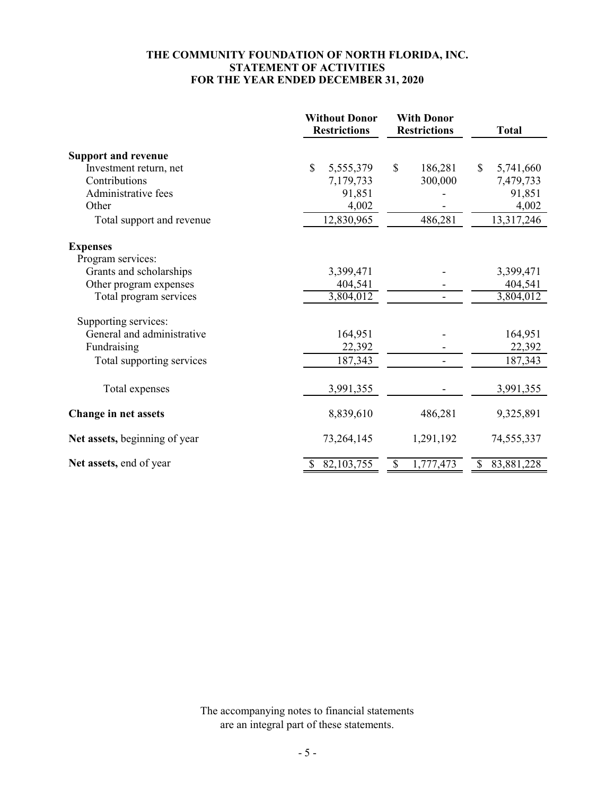#### **THE COMMUNITY FOUNDATION OF NORTH FLORIDA, INC. STATEMENT OF ACTIVITIES FOR THE YEAR ENDED DECEMBER 31, 2020**

|                               | <b>Without Donor</b><br><b>Restrictions</b> | <b>With Donor</b><br><b>Restrictions</b> | <b>Total</b>     |
|-------------------------------|---------------------------------------------|------------------------------------------|------------------|
| <b>Support and revenue</b>    |                                             |                                          |                  |
| Investment return, net        | \$<br>5,555,379                             | $\mathbb{S}$<br>186,281                  | \$<br>5,741,660  |
| Contributions                 | 7,179,733                                   | 300,000                                  | 7,479,733        |
| Administrative fees           | 91,851                                      |                                          | 91,851           |
| Other                         | 4,002                                       |                                          | 4,002            |
| Total support and revenue     | 12,830,965                                  | 486,281                                  | 13,317,246       |
| <b>Expenses</b>               |                                             |                                          |                  |
| Program services:             |                                             |                                          |                  |
| Grants and scholarships       | 3,399,471                                   |                                          | 3,399,471        |
| Other program expenses        | 404,541                                     |                                          | 404,541          |
| Total program services        | 3,804,012                                   |                                          | 3,804,012        |
| Supporting services:          |                                             |                                          |                  |
| General and administrative    | 164,951                                     |                                          | 164,951          |
| Fundraising                   | 22,392                                      |                                          | 22,392           |
| Total supporting services     | 187,343                                     |                                          | 187,343          |
| Total expenses                | 3,991,355                                   |                                          | 3,991,355        |
| Change in net assets          | 8,839,610                                   | 486,281                                  | 9,325,891        |
| Net assets, beginning of year | 73,264,145                                  | 1,291,192                                | 74,555,337       |
| Net assets, end of year       | 82, 103, 755                                | 1,777,473<br>\$                          | 83,881,228<br>\$ |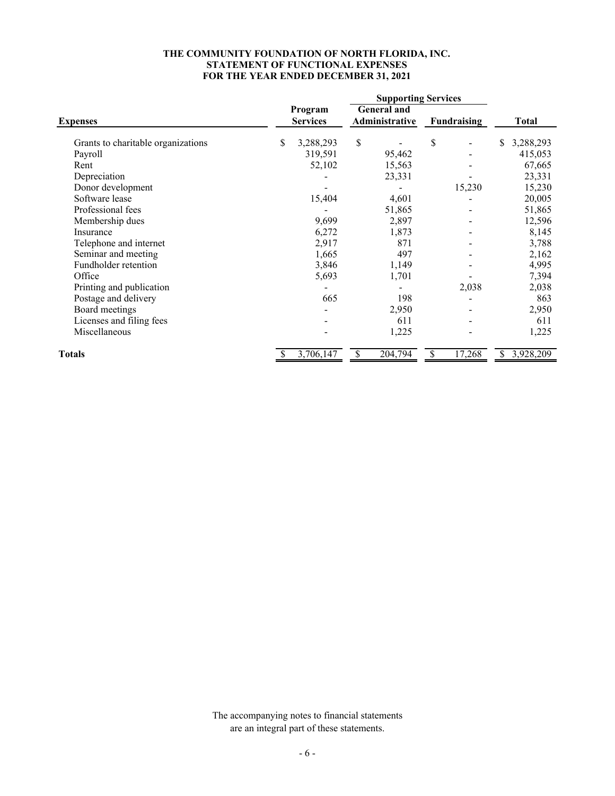#### **THE COMMUNITY FOUNDATION OF NORTH FLORIDA, INC. STATEMENT OF FUNCTIONAL EXPENSES FOR THE YEAR ENDED DECEMBER 31, 2021**

|                                    |                            | <b>Supporting Services</b>           |                    |                 |  |  |
|------------------------------------|----------------------------|--------------------------------------|--------------------|-----------------|--|--|
| <b>Expenses</b>                    | Program<br><b>Services</b> | <b>General and</b><br>Administrative | <b>Fundraising</b> | <b>Total</b>    |  |  |
| Grants to charitable organizations | \$<br>3,288,293            | \$                                   | \$                 | \$<br>3,288,293 |  |  |
| Payroll                            | 319,591                    | 95,462                               |                    | 415,053         |  |  |
| Rent                               | 52,102                     | 15,563                               |                    | 67,665          |  |  |
| Depreciation                       |                            | 23,331                               |                    | 23,331          |  |  |
| Donor development                  |                            |                                      | 15,230             | 15,230          |  |  |
| Software lease                     | 15,404                     | 4,601                                |                    | 20,005          |  |  |
| Professional fees                  |                            | 51,865                               |                    | 51,865          |  |  |
| Membership dues                    | 9,699                      | 2,897                                |                    | 12,596          |  |  |
| Insurance                          | 6,272                      | 1,873                                |                    | 8,145           |  |  |
| Telephone and internet             | 2,917                      | 871                                  |                    | 3,788           |  |  |
| Seminar and meeting                | 1,665                      | 497                                  |                    | 2,162           |  |  |
| Fundholder retention               | 3,846                      | 1,149                                |                    | 4,995           |  |  |
| Office                             | 5,693                      | 1,701                                |                    | 7,394           |  |  |
| Printing and publication           |                            |                                      | 2,038              | 2,038           |  |  |
| Postage and delivery               | 665                        | 198                                  |                    | 863             |  |  |
| Board meetings                     |                            | 2,950                                |                    | 2,950           |  |  |
| Licenses and filing fees           |                            | 611                                  |                    | 611             |  |  |
| Miscellaneous                      |                            | 1,225                                |                    | 1,225           |  |  |
| <b>Totals</b>                      | 3,706,147                  | 204,794                              | 17,268<br>\$       | 3,928,209<br>S  |  |  |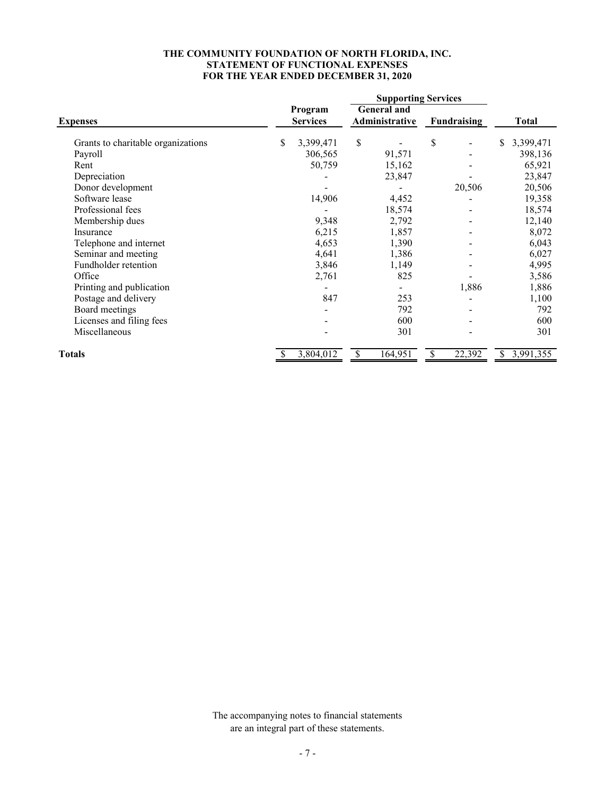#### **THE COMMUNITY FOUNDATION OF NORTH FLORIDA, INC. STATEMENT OF FUNCTIONAL EXPENSES FOR THE YEAR ENDED DECEMBER 31, 2020**

|                                    |                            | <b>Supporting Services</b>           |                    |                 |  |  |
|------------------------------------|----------------------------|--------------------------------------|--------------------|-----------------|--|--|
| <b>Expenses</b>                    | Program<br><b>Services</b> | <b>General and</b><br>Administrative | <b>Fundraising</b> | <b>Total</b>    |  |  |
| Grants to charitable organizations | \$<br>3,399,471            | \$                                   | \$                 | \$<br>3,399,471 |  |  |
| Payroll                            | 306,565                    | 91,571                               |                    | 398,136         |  |  |
| Rent                               | 50,759                     | 15,162                               |                    | 65,921          |  |  |
| Depreciation                       |                            | 23,847                               |                    | 23,847          |  |  |
| Donor development                  |                            |                                      | 20,506             | 20,506          |  |  |
| Software lease                     | 14,906                     | 4,452                                |                    | 19,358          |  |  |
| Professional fees                  |                            | 18,574                               |                    | 18,574          |  |  |
| Membership dues                    | 9,348                      | 2,792                                |                    | 12,140          |  |  |
| Insurance                          | 6,215                      | 1,857                                |                    | 8,072           |  |  |
| Telephone and internet             | 4,653                      | 1,390                                |                    | 6,043           |  |  |
| Seminar and meeting                | 4,641                      | 1,386                                |                    | 6,027           |  |  |
| Fundholder retention               | 3,846                      | 1,149                                |                    | 4,995           |  |  |
| Office                             | 2,761                      | 825                                  |                    | 3,586           |  |  |
| Printing and publication           |                            |                                      | 1,886              | 1,886           |  |  |
| Postage and delivery               | 847                        | 253                                  |                    | 1,100           |  |  |
| Board meetings                     |                            | 792                                  |                    | 792             |  |  |
| Licenses and filing fees           |                            | 600                                  |                    | 600             |  |  |
| Miscellaneous                      |                            | 301                                  |                    | 301             |  |  |
| <b>Totals</b>                      | 3,804,012                  | 164,951                              | 22,392<br>S        | 3,991,355<br>S  |  |  |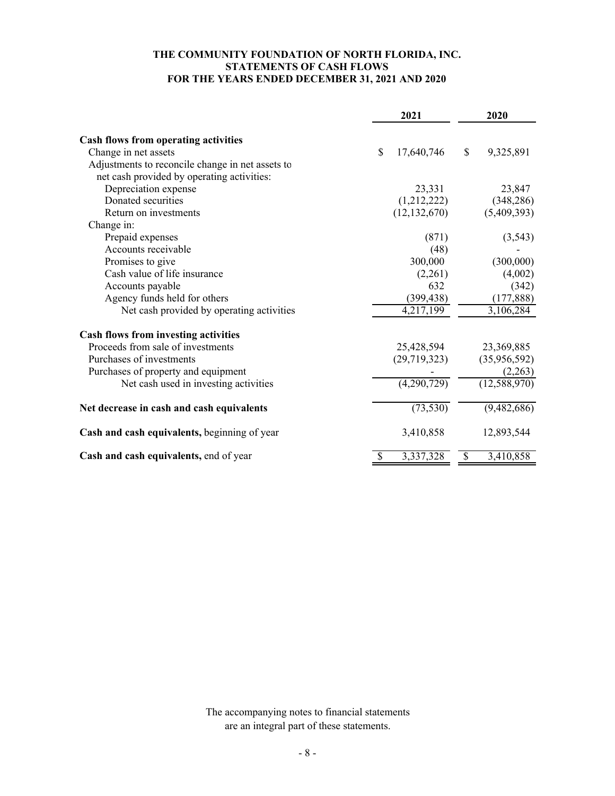#### **THE COMMUNITY FOUNDATION OF NORTH FLORIDA, INC. STATEMENTS OF CASH FLOWS FOR THE YEARS ENDED DECEMBER 31, 2021 AND 2020**

|                                                  | 2021             | 2020          |                |
|--------------------------------------------------|------------------|---------------|----------------|
| Cash flows from operating activities             |                  |               |                |
| Change in net assets                             | \$<br>17,640,746 | $\mathcal{S}$ | 9,325,891      |
| Adjustments to reconcile change in net assets to |                  |               |                |
| net cash provided by operating activities:       |                  |               |                |
| Depreciation expense                             | 23,331           |               | 23,847         |
| Donated securities                               | (1,212,222)      |               | (348, 286)     |
| Return on investments                            | (12, 132, 670)   |               | (5,409,393)    |
| Change in:                                       |                  |               |                |
| Prepaid expenses                                 | (871)            |               | (3,543)        |
| Accounts receivable                              | (48)             |               |                |
| Promises to give                                 | 300,000          |               | (300,000)      |
| Cash value of life insurance                     | (2,261)          |               | (4,002)        |
| Accounts payable                                 | 632              |               | (342)          |
| Agency funds held for others                     | (399, 438)       |               | (177, 888)     |
| Net cash provided by operating activities        | 4,217,199        |               | 3,106,284      |
| Cash flows from investing activities             |                  |               |                |
| Proceeds from sale of investments                | 25,428,594       |               | 23,369,885     |
| Purchases of investments                         | (29,719,323)     |               | (35,956,592)   |
| Purchases of property and equipment              |                  |               | (2,263)        |
| Net cash used in investing activities            | (4,290,729)      |               | (12, 588, 970) |
| Net decrease in cash and cash equivalents        | (73, 530)        |               | (9,482,686)    |
| Cash and cash equivalents, beginning of year     | 3,410,858        |               | 12,893,544     |
| Cash and cash equivalents, end of year           | 3,337,328        |               | 3,410,858      |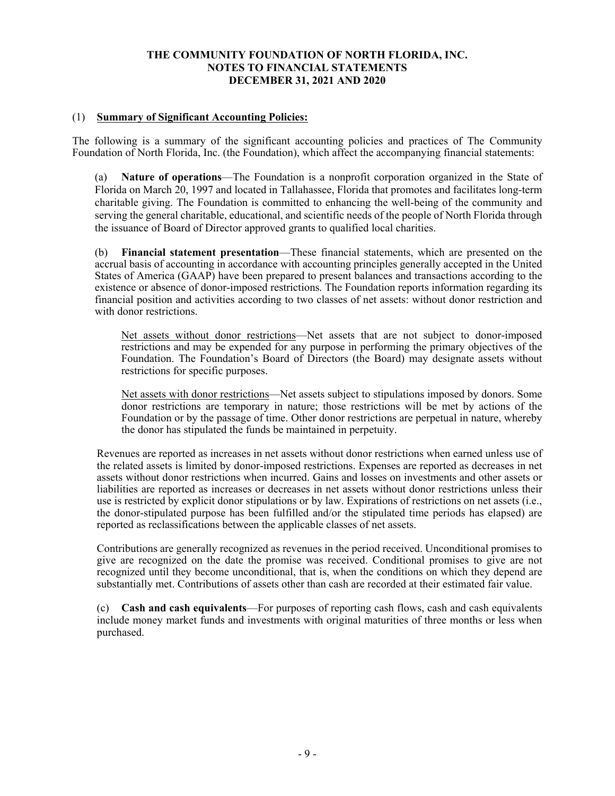#### (1) **Summary of Significant Accounting Policies:**

The following is a summary of the significant accounting policies and practices of The Community Foundation of North Florida, Inc. (the Foundation), which affect the accompanying financial statements:

(a) **Nature of operations**––The Foundation is a nonprofit corporation organized in the State of Florida on March 20, 1997 and located in Tallahassee, Florida that promotes and facilitates long-term charitable giving. The Foundation is committed to enhancing the well-being of the community and serving the general charitable, educational, and scientific needs of the people of North Florida through the issuance of Board of Director approved grants to qualified local charities.

(b) **Financial statement presentation**—These financial statements, which are presented on the accrual basis of accounting in accordance with accounting principles generally accepted in the United States of America (GAAP) have been prepared to present balances and transactions according to the existence or absence of donor-imposed restrictions. The Foundation reports information regarding its financial position and activities according to two classes of net assets: without donor restriction and with donor restrictions.

Net assets without donor restrictions—Net assets that are not subject to donor-imposed restrictions and may be expended for any purpose in performing the primary objectives of the Foundation. The Foundation's Board of Directors (the Board) may designate assets without restrictions for specific purposes.

Net assets with donor restrictions—Net assets subject to stipulations imposed by donors. Some donor restrictions are temporary in nature; those restrictions will be met by actions of the Foundation or by the passage of time. Other donor restrictions are perpetual in nature, whereby the donor has stipulated the funds be maintained in perpetuity.

Revenues are reported as increases in net assets without donor restrictions when earned unless use of the related assets is limited by donor-imposed restrictions. Expenses are reported as decreases in net assets without donor restrictions when incurred. Gains and losses on investments and other assets or liabilities are reported as increases or decreases in net assets without donor restrictions unless their use is restricted by explicit donor stipulations or by law. Expirations of restrictions on net assets (i.e., the donor-stipulated purpose has been fulfilled and/or the stipulated time periods has elapsed) are reported as reclassifications between the applicable classes of net assets.

Contributions are generally recognized as revenues in the period received. Unconditional promises to give are recognized on the date the promise was received. Conditional promises to give are not recognized until they become unconditional, that is, when the conditions on which they depend are substantially met. Contributions of assets other than cash are recorded at their estimated fair value.

(c) **Cash and cash equivalents**––For purposes of reporting cash flows, cash and cash equivalents include money market funds and investments with original maturities of three months or less when purchased.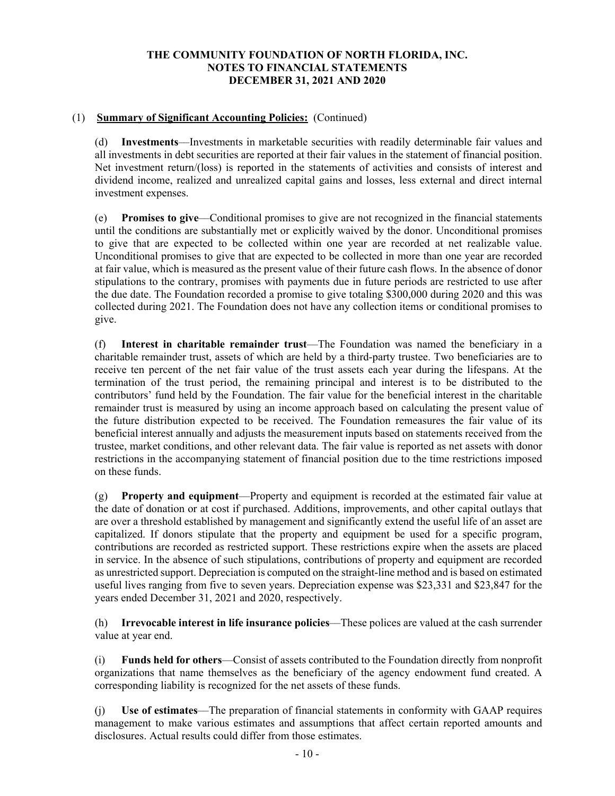## (1) **Summary of Significant Accounting Policies:** (Continued)

(d) **Investments**––Investments in marketable securities with readily determinable fair values and all investments in debt securities are reported at their fair values in the statement of financial position. Net investment return/(loss) is reported in the statements of activities and consists of interest and dividend income, realized and unrealized capital gains and losses, less external and direct internal investment expenses.

(e) **Promises to give**––Conditional promises to give are not recognized in the financial statements until the conditions are substantially met or explicitly waived by the donor. Unconditional promises to give that are expected to be collected within one year are recorded at net realizable value. Unconditional promises to give that are expected to be collected in more than one year are recorded at fair value, which is measured as the present value of their future cash flows. In the absence of donor stipulations to the contrary, promises with payments due in future periods are restricted to use after the due date. The Foundation recorded a promise to give totaling \$300,000 during 2020 and this was collected during 2021. The Foundation does not have any collection items or conditional promises to give.

(f) **Interest in charitable remainder trust**––The Foundation was named the beneficiary in a charitable remainder trust, assets of which are held by a third-party trustee. Two beneficiaries are to receive ten percent of the net fair value of the trust assets each year during the lifespans. At the termination of the trust period, the remaining principal and interest is to be distributed to the contributors' fund held by the Foundation. The fair value for the beneficial interest in the charitable remainder trust is measured by using an income approach based on calculating the present value of the future distribution expected to be received. The Foundation remeasures the fair value of its beneficial interest annually and adjusts the measurement inputs based on statements received from the trustee, market conditions, and other relevant data. The fair value is reported as net assets with donor restrictions in the accompanying statement of financial position due to the time restrictions imposed on these funds.

(g) **Property and equipment**––Property and equipment is recorded at the estimated fair value at the date of donation or at cost if purchased. Additions, improvements, and other capital outlays that are over a threshold established by management and significantly extend the useful life of an asset are capitalized. If donors stipulate that the property and equipment be used for a specific program, contributions are recorded as restricted support. These restrictions expire when the assets are placed in service. In the absence of such stipulations, contributions of property and equipment are recorded as unrestricted support. Depreciation is computed on the straight-line method and is based on estimated useful lives ranging from five to seven years. Depreciation expense was \$23,331 and \$23,847 for the years ended December 31, 2021 and 2020, respectively.

(h) **Irrevocable interest in life insurance policies**––These polices are valued at the cash surrender value at year end.

(i) **Funds held for others**––Consist of assets contributed to the Foundation directly from nonprofit organizations that name themselves as the beneficiary of the agency endowment fund created. A corresponding liability is recognized for the net assets of these funds.

(j) **Use of estimates**––The preparation of financial statements in conformity with GAAP requires management to make various estimates and assumptions that affect certain reported amounts and disclosures. Actual results could differ from those estimates.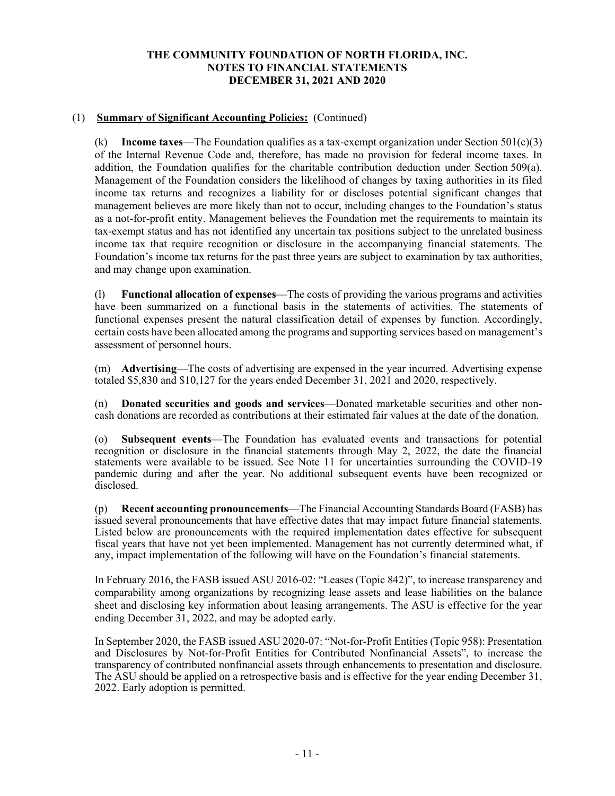## (1) **Summary of Significant Accounting Policies:** (Continued)

(k) **Income taxes**––The Foundation qualifies as a tax-exempt organization under Section 501(c)(3) of the Internal Revenue Code and, therefore, has made no provision for federal income taxes. In addition, the Foundation qualifies for the charitable contribution deduction under Section 509(a). Management of the Foundation considers the likelihood of changes by taxing authorities in its filed income tax returns and recognizes a liability for or discloses potential significant changes that management believes are more likely than not to occur, including changes to the Foundation's status as a not-for-profit entity. Management believes the Foundation met the requirements to maintain its tax-exempt status and has not identified any uncertain tax positions subject to the unrelated business income tax that require recognition or disclosure in the accompanying financial statements. The Foundation's income tax returns for the past three years are subject to examination by tax authorities, and may change upon examination.

(l) **Functional allocation of expenses**––The costs of providing the various programs and activities have been summarized on a functional basis in the statements of activities. The statements of functional expenses present the natural classification detail of expenses by function. Accordingly, certain costs have been allocated among the programs and supporting services based on management's assessment of personnel hours.

(m) **Advertising**––The costs of advertising are expensed in the year incurred. Advertising expense totaled \$5,830 and \$10,127 for the years ended December 31, 2021 and 2020, respectively.

(n) **Donated securities and goods and services**––Donated marketable securities and other noncash donations are recorded as contributions at their estimated fair values at the date of the donation.

(o) **Subsequent events**––The Foundation has evaluated events and transactions for potential recognition or disclosure in the financial statements through May 2, 2022, the date the financial statements were available to be issued. See Note 11 for uncertainties surrounding the COVID-19 pandemic during and after the year. No additional subsequent events have been recognized or disclosed.

(p) **Recent accounting pronouncements**—The Financial Accounting Standards Board (FASB) has issued several pronouncements that have effective dates that may impact future financial statements. Listed below are pronouncements with the required implementation dates effective for subsequent fiscal years that have not yet been implemented. Management has not currently determined what, if any, impact implementation of the following will have on the Foundation's financial statements.

In February 2016, the FASB issued ASU 2016-02: "Leases (Topic 842)", to increase transparency and comparability among organizations by recognizing lease assets and lease liabilities on the balance sheet and disclosing key information about leasing arrangements. The ASU is effective for the year ending December 31, 2022, and may be adopted early.

In September 2020, the FASB issued ASU 2020-07: "Not-for-Profit Entities (Topic 958): Presentation and Disclosures by Not-for-Profit Entities for Contributed Nonfinancial Assets", to increase the transparency of contributed nonfinancial assets through enhancements to presentation and disclosure. The ASU should be applied on a retrospective basis and is effective for the year ending December 31, 2022. Early adoption is permitted.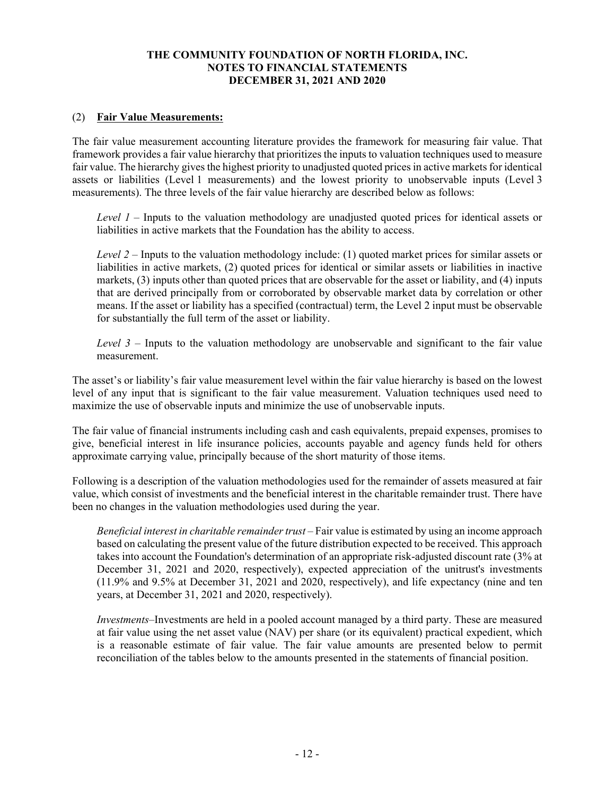### (2) **Fair Value Measurements:**

The fair value measurement accounting literature provides the framework for measuring fair value. That framework provides a fair value hierarchy that prioritizes the inputs to valuation techniques used to measure fair value. The hierarchy gives the highest priority to unadjusted quoted prices in active markets for identical assets or liabilities (Level 1 measurements) and the lowest priority to unobservable inputs (Level 3 measurements). The three levels of the fair value hierarchy are described below as follows:

*Level 1* – Inputs to the valuation methodology are unadjusted quoted prices for identical assets or liabilities in active markets that the Foundation has the ability to access.

*Level 2* – Inputs to the valuation methodology include: (1) quoted market prices for similar assets or liabilities in active markets, (2) quoted prices for identical or similar assets or liabilities in inactive markets, (3) inputs other than quoted prices that are observable for the asset or liability, and (4) inputs that are derived principally from or corroborated by observable market data by correlation or other means. If the asset or liability has a specified (contractual) term, the Level 2 input must be observable for substantially the full term of the asset or liability.

*Level 3* – Inputs to the valuation methodology are unobservable and significant to the fair value measurement.

The asset's or liability's fair value measurement level within the fair value hierarchy is based on the lowest level of any input that is significant to the fair value measurement. Valuation techniques used need to maximize the use of observable inputs and minimize the use of unobservable inputs.

The fair value of financial instruments including cash and cash equivalents, prepaid expenses, promises to give, beneficial interest in life insurance policies, accounts payable and agency funds held for others approximate carrying value, principally because of the short maturity of those items.

Following is a description of the valuation methodologies used for the remainder of assets measured at fair value, which consist of investments and the beneficial interest in the charitable remainder trust. There have been no changes in the valuation methodologies used during the year.

*Beneficial interest in charitable remainder trust* – Fair value is estimated by using an income approach based on calculating the present value of the future distribution expected to be received. This approach takes into account the Foundation's determination of an appropriate risk-adjusted discount rate (3% at December 31, 2021 and 2020, respectively), expected appreciation of the unitrust's investments (11.9% and 9.5% at December 31, 2021 and 2020, respectively), and life expectancy (nine and ten years, at December 31, 2021 and 2020, respectively).

*Investments*–Investments are held in a pooled account managed by a third party. These are measured at fair value using the net asset value (NAV) per share (or its equivalent) practical expedient, which is a reasonable estimate of fair value. The fair value amounts are presented below to permit reconciliation of the tables below to the amounts presented in the statements of financial position.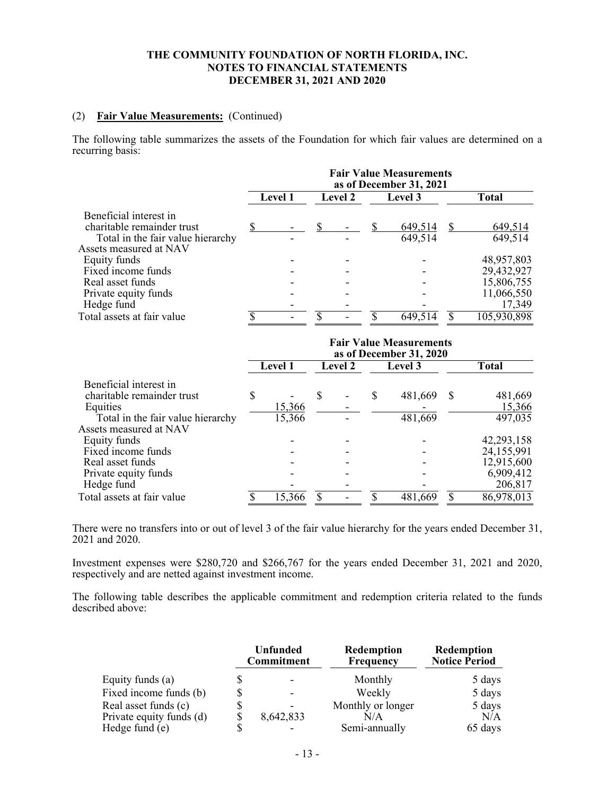## (2) **Fair Value Measurements:** (Continued)

The following table summarizes the assets of the Foundation for which fair values are determined on a recurring basis:

|                                   | <b>Fair Value Measurements</b><br>as of December 31, 2021 |                |  |                |  |         |  |              |  |  |
|-----------------------------------|-----------------------------------------------------------|----------------|--|----------------|--|---------|--|--------------|--|--|
|                                   |                                                           | <b>Level 1</b> |  | <b>Level 2</b> |  | Level 3 |  | <b>Total</b> |  |  |
| Beneficial interest in            |                                                           |                |  |                |  |         |  |              |  |  |
| charitable remainder trust        |                                                           |                |  |                |  | 649,514 |  | 649,514      |  |  |
| Total in the fair value hierarchy |                                                           |                |  |                |  | 649,514 |  | 649,514      |  |  |
| Assets measured at NAV            |                                                           |                |  |                |  |         |  |              |  |  |
| Equity funds                      |                                                           |                |  |                |  |         |  | 48,957,803   |  |  |
| Fixed income funds                |                                                           |                |  |                |  |         |  | 29,432,927   |  |  |
| Real asset funds                  |                                                           |                |  |                |  |         |  | 15,806,755   |  |  |
| Private equity funds              |                                                           |                |  |                |  |         |  | 11,066,550   |  |  |
| Hedge fund                        |                                                           |                |  |                |  |         |  | 17,349       |  |  |
| Total assets at fair value        |                                                           |                |  |                |  | 649,514 |  | 105,930,898  |  |  |

|                                   |                |        | <b>Fair Value Measurements</b><br>as of December 31, 2020 |  |         |         |          |              |
|-----------------------------------|----------------|--------|-----------------------------------------------------------|--|---------|---------|----------|--------------|
|                                   | <b>Level 1</b> |        | <b>Level 2</b>                                            |  | Level 3 |         |          | <b>Total</b> |
| Beneficial interest in            |                |        |                                                           |  |         |         |          |              |
| charitable remainder trust        | \$             |        | S                                                         |  | S       | 481,669 | <b>S</b> | 481,669      |
| Equities                          |                | 15,366 |                                                           |  |         |         |          | 15,366       |
| Total in the fair value hierarchy |                | 15,366 |                                                           |  |         | 481,669 |          | 497,035      |
| Assets measured at NAV            |                |        |                                                           |  |         |         |          |              |
| Equity funds                      |                |        |                                                           |  |         |         |          | 42,293,158   |
| Fixed income funds                |                |        |                                                           |  |         |         |          | 24,155,991   |
| Real asset funds                  |                |        |                                                           |  |         |         |          | 12,915,600   |
| Private equity funds              |                |        |                                                           |  |         |         |          | 6,909,412    |
| Hedge fund                        |                |        |                                                           |  |         |         |          | 206,817      |
| Total assets at fair value        |                | 15,366 |                                                           |  |         | 481,669 |          | 86,978,013   |

There were no transfers into or out of level 3 of the fair value hierarchy for the years ended December 31, 2021 and 2020.

Investment expenses were \$280,720 and \$266,767 for the years ended December 31, 2021 and 2020, respectively and are netted against investment income.

The following table describes the applicable commitment and redemption criteria related to the funds described above:

|                          |    | <b>Unfunded</b><br>Redemption<br>Frequency<br><b>Commitment</b> |                   | Redemption<br><b>Notice Period</b> |
|--------------------------|----|-----------------------------------------------------------------|-------------------|------------------------------------|
| Equity funds (a)         | S  |                                                                 | Monthly           | 5 days                             |
| Fixed income funds (b)   | \$ |                                                                 | Weekly            | 5 days                             |
| Real asset funds (c)     |    |                                                                 | Monthly or longer | 5 days                             |
| Private equity funds (d) | \$ | 8,642,833                                                       | N/A               | N/A                                |
| Hedge fund (e)           |    |                                                                 | Semi-annually     | 65 days                            |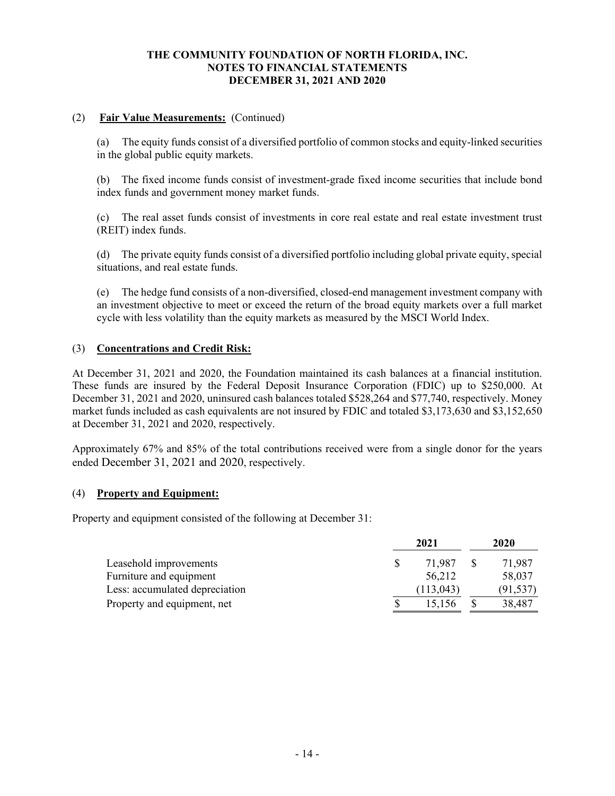## (2) **Fair Value Measurements:** (Continued)

(a) The equity funds consist of a diversified portfolio of common stocks and equity-linked securities in the global public equity markets.

(b) The fixed income funds consist of investment-grade fixed income securities that include bond index funds and government money market funds.

(c) The real asset funds consist of investments in core real estate and real estate investment trust (REIT) index funds.

(d) The private equity funds consist of a diversified portfolio including global private equity, special situations, and real estate funds.

(e) The hedge fund consists of a non-diversified, closed-end management investment company with an investment objective to meet or exceed the return of the broad equity markets over a full market cycle with less volatility than the equity markets as measured by the MSCI World Index.

## (3) **Concentrations and Credit Risk:**

At December 31, 2021 and 2020, the Foundation maintained its cash balances at a financial institution. These funds are insured by the Federal Deposit Insurance Corporation (FDIC) up to \$250,000. At December 31, 2021 and 2020, uninsured cash balances totaled \$528,264 and \$77,740, respectively. Money market funds included as cash equivalents are not insured by FDIC and totaled \$3,173,630 and \$3,152,650 at December 31, 2021 and 2020, respectively.

Approximately 67% and 85% of the total contributions received were from a single donor for the years ended December 31, 2021 and 2020, respectively.

#### (4) **Property and Equipment:**

Property and equipment consisted of the following at December 31:

|                                | 2021 |            |  | 2020      |  |  |
|--------------------------------|------|------------|--|-----------|--|--|
| Leasehold improvements         |      | 71.987     |  | 71,987    |  |  |
| Furniture and equipment        |      | 56,212     |  | 58,037    |  |  |
| Less: accumulated depreciation |      | (113, 043) |  | (91, 537) |  |  |
| Property and equipment, net    |      | 15,156     |  | 38,487    |  |  |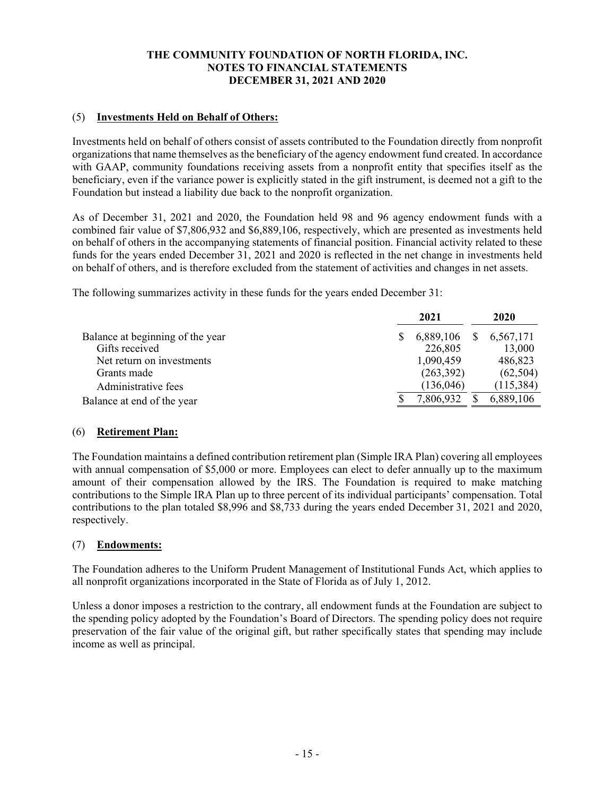## (5) **Investments Held on Behalf of Others:**

Investments held on behalf of others consist of assets contributed to the Foundation directly from nonprofit organizations that name themselves as the beneficiary of the agency endowment fund created. In accordance with GAAP, community foundations receiving assets from a nonprofit entity that specifies itself as the beneficiary, even if the variance power is explicitly stated in the gift instrument, is deemed not a gift to the Foundation but instead a liability due back to the nonprofit organization.

As of December 31, 2021 and 2020, the Foundation held 98 and 96 agency endowment funds with a combined fair value of \$7,806,932 and \$6,889,106, respectively, which are presented as investments held on behalf of others in the accompanying statements of financial position. Financial activity related to these funds for the years ended December 31, 2021 and 2020 is reflected in the net change in investments held on behalf of others, and is therefore excluded from the statement of activities and changes in net assets.

The following summarizes activity in these funds for the years ended December 31:

|                                  | 2021 |            |    | 2020       |
|----------------------------------|------|------------|----|------------|
| Balance at beginning of the year | S.   | 6,889,106  | S. | 6,567,171  |
| Gifts received                   |      | 226,805    |    | 13,000     |
| Net return on investments        |      | 1,090,459  |    | 486,823    |
| Grants made                      |      | (263,392)  |    | (62, 504)  |
| Administrative fees              |      | (136, 046) |    | (115, 384) |
| Balance at end of the year       |      | 7,806,932  |    | 6,889,106  |

#### (6) **Retirement Plan:**

The Foundation maintains a defined contribution retirement plan (Simple IRA Plan) covering all employees with annual compensation of \$5,000 or more. Employees can elect to defer annually up to the maximum amount of their compensation allowed by the IRS. The Foundation is required to make matching contributions to the Simple IRA Plan up to three percent of its individual participants' compensation. Total contributions to the plan totaled \$8,996 and \$8,733 during the years ended December 31, 2021 and 2020, respectively.

## (7) **Endowments:**

The Foundation adheres to the Uniform Prudent Management of Institutional Funds Act, which applies to all nonprofit organizations incorporated in the State of Florida as of July 1, 2012.

Unless a donor imposes a restriction to the contrary, all endowment funds at the Foundation are subject to the spending policy adopted by the Foundation's Board of Directors. The spending policy does not require preservation of the fair value of the original gift, but rather specifically states that spending may include income as well as principal.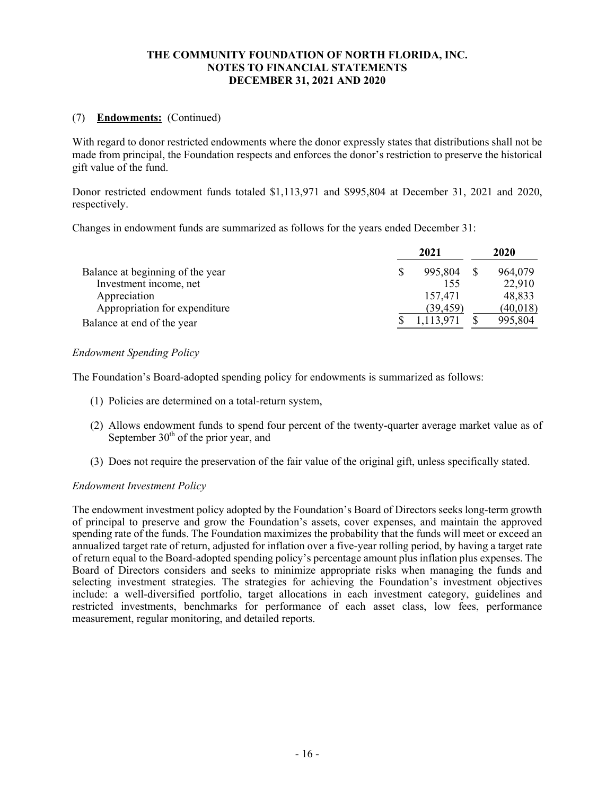## (7) **Endowments:** (Continued)

With regard to donor restricted endowments where the donor expressly states that distributions shall not be made from principal, the Foundation respects and enforces the donor's restriction to preserve the historical gift value of the fund.

Donor restricted endowment funds totaled \$1,113,971 and \$995,804 at December 31, 2021 and 2020, respectively.

Changes in endowment funds are summarized as follows for the years ended December 31:

|                                  | 2021 |           | 2020 |          |
|----------------------------------|------|-----------|------|----------|
| Balance at beginning of the year |      | 995,804   |      | 964,079  |
| Investment income, net           |      | 155       |      | 22,910   |
| Appreciation                     |      | 157.471   |      | 48,833   |
| Appropriation for expenditure    |      | (39,459)  |      | (40,018) |
| Balance at end of the year       |      | 1,113,971 |      | 995,804  |

## *Endowment Spending Policy*

The Foundation's Board-adopted spending policy for endowments is summarized as follows:

- (1) Policies are determined on a total-return system,
- (2) Allows endowment funds to spend four percent of the twenty-quarter average market value as of September  $30<sup>th</sup>$  of the prior year, and
- (3) Does not require the preservation of the fair value of the original gift, unless specifically stated.

#### *Endowment Investment Policy*

The endowment investment policy adopted by the Foundation's Board of Directors seeks long-term growth of principal to preserve and grow the Foundation's assets, cover expenses, and maintain the approved spending rate of the funds. The Foundation maximizes the probability that the funds will meet or exceed an annualized target rate of return, adjusted for inflation over a five-year rolling period, by having a target rate of return equal to the Board-adopted spending policy's percentage amount plus inflation plus expenses. The Board of Directors considers and seeks to minimize appropriate risks when managing the funds and selecting investment strategies. The strategies for achieving the Foundation's investment objectives include: a well-diversified portfolio, target allocations in each investment category, guidelines and restricted investments, benchmarks for performance of each asset class, low fees, performance measurement, regular monitoring, and detailed reports.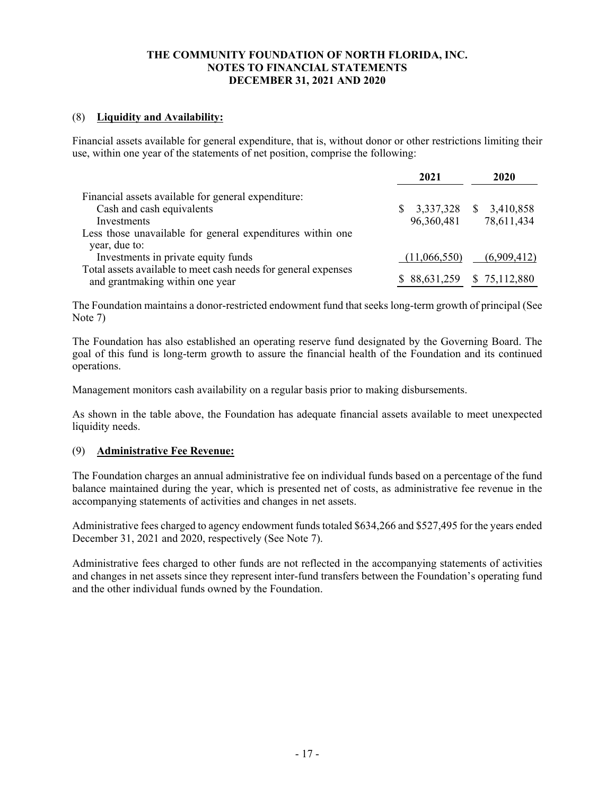## (8) **Liquidity and Availability:**

Financial assets available for general expenditure, that is, without donor or other restrictions limiting their use, within one year of the statements of net position, comprise the following:

|                                                                | 2021             | 2020            |
|----------------------------------------------------------------|------------------|-----------------|
| Financial assets available for general expenditure:            |                  |                 |
| Cash and cash equivalents                                      | 3,337,328<br>S   | 3,410,858<br>S. |
| Investments                                                    | 96,360,481       | 78,611,434      |
| Less those unavailable for general expenditures within one     |                  |                 |
| year, due to:                                                  |                  |                 |
| Investments in private equity funds                            | (11,066,550)     | (6,909,412)     |
| Total assets available to meet cash needs for general expenses |                  |                 |
| and grantmaking within one year                                | 88,631,259<br>S. | \$75,112,880    |

The Foundation maintains a donor-restricted endowment fund that seeks long-term growth of principal (See Note 7)

The Foundation has also established an operating reserve fund designated by the Governing Board. The goal of this fund is long-term growth to assure the financial health of the Foundation and its continued operations.

Management monitors cash availability on a regular basis prior to making disbursements.

As shown in the table above, the Foundation has adequate financial assets available to meet unexpected liquidity needs.

#### (9) **Administrative Fee Revenue:**

The Foundation charges an annual administrative fee on individual funds based on a percentage of the fund balance maintained during the year, which is presented net of costs, as administrative fee revenue in the accompanying statements of activities and changes in net assets.

Administrative fees charged to agency endowment funds totaled \$634,266 and \$527,495 for the years ended December 31, 2021 and 2020, respectively (See Note 7).

Administrative fees charged to other funds are not reflected in the accompanying statements of activities and changes in net assets since they represent inter-fund transfers between the Foundation's operating fund and the other individual funds owned by the Foundation.